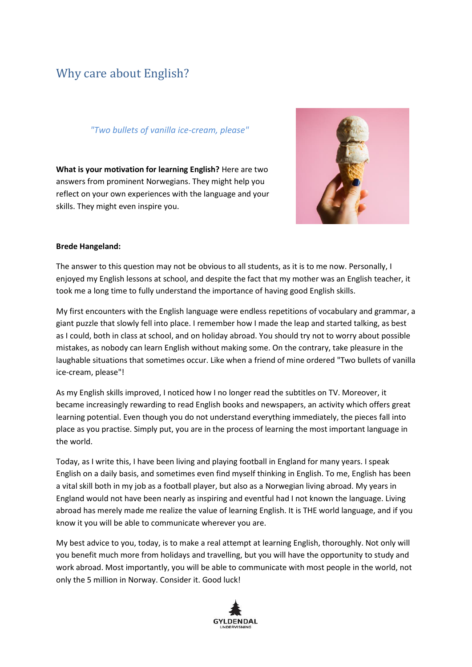# Why care about English?

### *"Two bullets of vanilla ice-cream, please"*

**What is your motivation for learning English?** Here are two answers from prominent Norwegians. They might help you reflect on your own experiences with the language and your skills. They might even inspire you.



## **Brede Hangeland:**

The answer to this question may not be obvious to all students, as it is to me now. Personally, I enjoyed my English lessons at school, and despite the fact that my mother was an English teacher, it took me a long time to fully understand the importance of having good English skills.

My first encounters with the English language were endless repetitions of vocabulary and grammar, a giant puzzle that slowly fell into place. I remember how I made the leap and started talking, as best as I could, both in class at school, and on holiday abroad. You should try not to worry about possible mistakes, as nobody can learn English without making some. On the contrary, take pleasure in the laughable situations that sometimes occur. Like when a friend of mine ordered "Two bullets of vanilla ice-cream, please"!

As my English skills improved, I noticed how I no longer read the subtitles on TV. Moreover, it became increasingly rewarding to read English books and newspapers, an activity which offers great learning potential. Even though you do not understand everything immediately, the pieces fall into place as you practise. Simply put, you are in the process of learning the most important language in the world.

Today, as I write this, I have been living and playing football in England for many years. I speak English on a daily basis, and sometimes even find myself thinking in English. To me, English has been a vital skill both in my job as a football player, but also as a Norwegian living abroad. My years in England would not have been nearly as inspiring and eventful had I not known the language. Living abroad has merely made me realize the value of learning English. It is THE world language, and if you know it you will be able to communicate wherever you are.

My best advice to you, today, is to make a real attempt at learning English, thoroughly. Not only will you benefit much more from holidays and travelling, but you will have the opportunity to study and work abroad. Most importantly, you will be able to communicate with most people in the world, not only the 5 million in Norway. Consider it. Good luck!